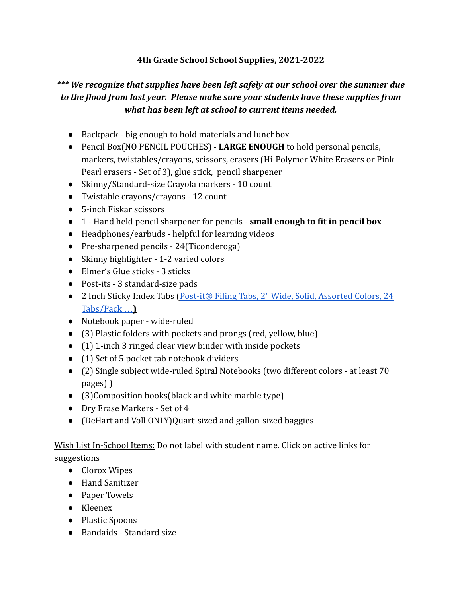## **4th Grade School School Supplies, 2021-2022**

## *\*\*\* We recognize that supplies have been left safely at our school over the summer due to the flood from last year. Please make sure your students have these supplies from what has been left at school to current items needed.*

- Backpack big enough to hold materials and lunchbox
- Pencil Box(NO PENCIL POUCHES) **LARGE ENOUGH** to hold personal pencils, markers, twistables/crayons, scissors, erasers (Hi-Polymer White Erasers or Pink Pearl erasers - Set of 3), glue stick, pencil sharpener
- Skinny/Standard-size Crayola markers 10 count
- Twistable crayons/crayons 12 count
- 5-inch Fiskar scissors
- 1 Hand held pencil sharpener for pencils **small enough to fit in pencil box**
- Headphones/earbuds helpful for learning videos
- Pre-sharpened pencils 24(Ticonderoga)
- Skinny highlighter 1-2 varied colors
- Elmer's Glue sticks 3 sticks
- Post-its 3 standard-size pads
- 2 Inch Sticky Index Tabs (Post-it® Filing Tabs, 2" [Wide, Solid, Assorted Colors, 24](https://www.staples.com/Post-it-Durable-Filing-Tabs-Assorted-Colors-2-24-Tabs-Pack-686PWAV/product_470972) [Tabs/Pack](https://www.staples.com/Post-it-Durable-Filing-Tabs-Assorted-Colors-2-24-Tabs-Pack-686PWAV/product_470972) …**)**
- Notebook paper wide-ruled
- (3) Plastic folders with pockets and prongs (red, yellow, blue)
- (1) 1-inch 3 ringed clear view binder with inside pockets
- (1) Set of 5 pocket tab notebook dividers
- (2) Single subject wide-ruled Spiral Notebooks (two different colors at least 70 pages) )
- (3)Composition books(black and white marble type)
- Dry Erase Markers Set of 4
- (DeHart and Voll ONLY)Quart-sized and gallon-sized baggies

## Wish List In-School Items: Do not label with student name. Click on active links for suggestions

- Clorox Wipes
- Hand Sanitizer
- Paper Towels
- Kleenex
- Plastic Spoons
- Bandaids Standard size